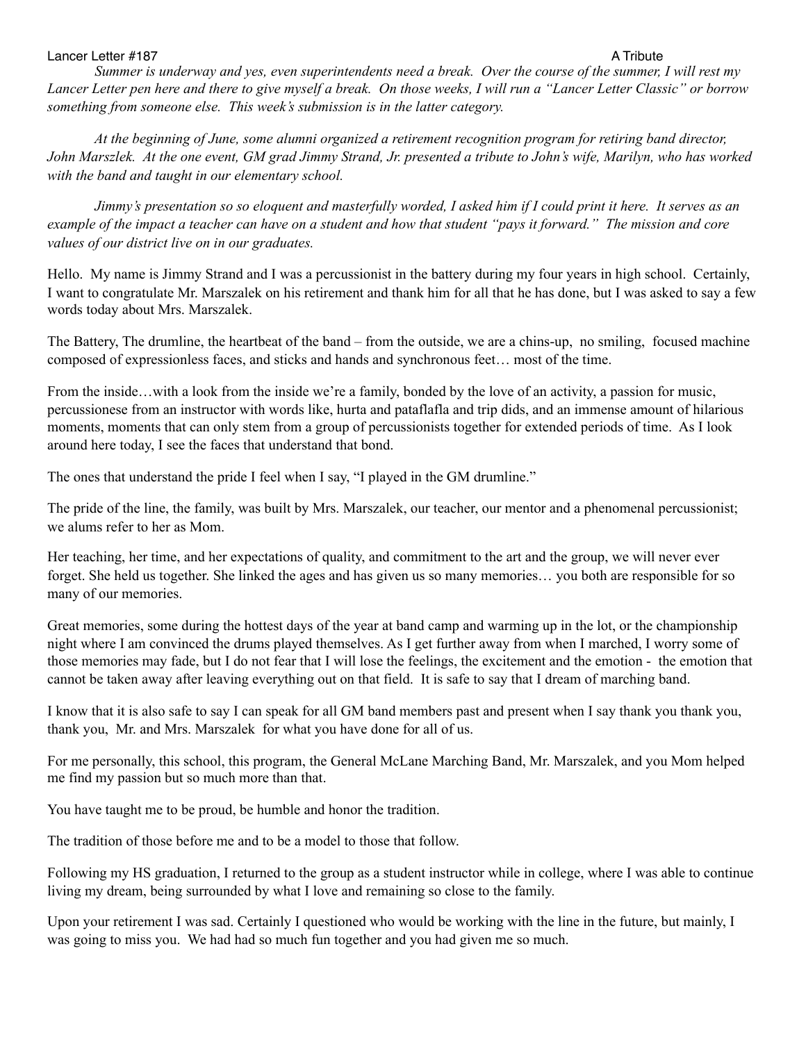## Lancer Letter #187 A Tribute

*Summer is underway and yes, even superintendents need a break. Over the course of the summer, I will rest my Lancer Letter pen here and there to give myself a break. On those weeks, I will run a "Lancer Letter Classic" or borrow something from someone else. This week's submission is in the latter category.*

 *At the beginning of June, some alumni organized a retirement recognition program for retiring band director, John Marszlek. At the one event, GM grad Jimmy Strand, Jr. presented a tribute to John's wife, Marilyn, who has worked with the band and taught in our elementary school.*

 *Jimmy's presentation so so eloquent and masterfully worded, I asked him if I could print it here. It serves as an example of the impact a teacher can have on a student and how that student "pays it forward." The mission and core values of our district live on in our graduates.*

Hello. My name is Jimmy Strand and I was a percussionist in the battery during my four years in high school. Certainly, I want to congratulate Mr. Marszalek on his retirement and thank him for all that he has done, but I was asked to say a few words today about Mrs. Marszalek.

The Battery, The drumline, the heartbeat of the band – from the outside, we are a chins-up, no smiling, focused machine composed of expressionless faces, and sticks and hands and synchronous feet… most of the time.

From the inside…with a look from the inside we're a family, bonded by the love of an activity, a passion for music, percussionese from an instructor with words like, hurta and pataflafla and trip dids, and an immense amount of hilarious moments, moments that can only stem from a group of percussionists together for extended periods of time. As I look around here today, I see the faces that understand that bond.

The ones that understand the pride I feel when I say, "I played in the GM drumline."

The pride of the line, the family, was built by Mrs. Marszalek, our teacher, our mentor and a phenomenal percussionist; we alums refer to her as Mom.

Her teaching, her time, and her expectations of quality, and commitment to the art and the group, we will never ever forget. She held us together. She linked the ages and has given us so many memories… you both are responsible for so many of our memories.

Great memories, some during the hottest days of the year at band camp and warming up in the lot, or the championship night where I am convinced the drums played themselves. As I get further away from when I marched, I worry some of those memories may fade, but I do not fear that I will lose the feelings, the excitement and the emotion - the emotion that cannot be taken away after leaving everything out on that field. It is safe to say that I dream of marching band.

I know that it is also safe to say I can speak for all GM band members past and present when I say thank you thank you, thank you, Mr. and Mrs. Marszalek for what you have done for all of us.

For me personally, this school, this program, the General McLane Marching Band, Mr. Marszalek, and you Mom helped me find my passion but so much more than that.

You have taught me to be proud, be humble and honor the tradition.

The tradition of those before me and to be a model to those that follow.

Following my HS graduation, I returned to the group as a student instructor while in college, where I was able to continue living my dream, being surrounded by what I love and remaining so close to the family.

Upon your retirement I was sad. Certainly I questioned who would be working with the line in the future, but mainly, I was going to miss you. We had had so much fun together and you had given me so much.